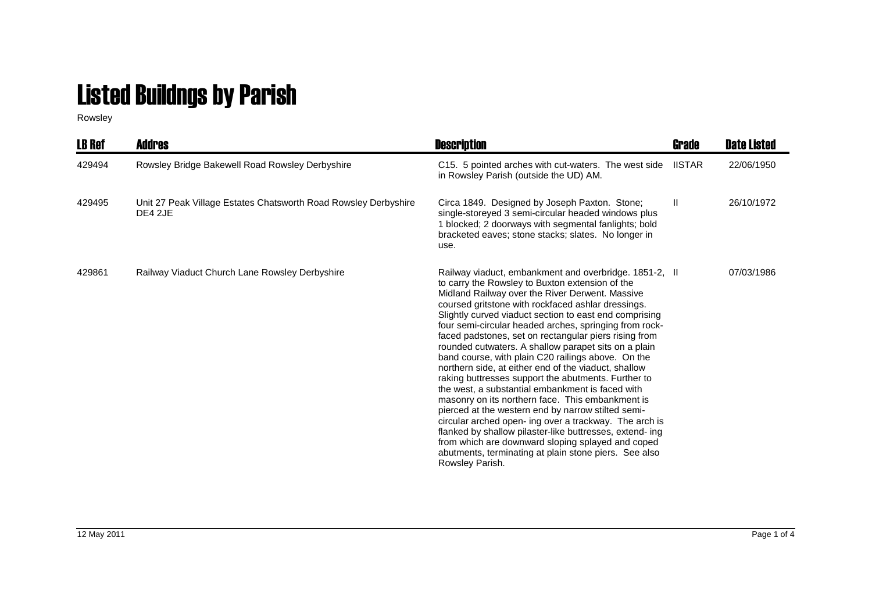## Listed Buildngs by Parish

Rowsley

| <b>LB Ref</b> | <b>Addres</b>                                                              | <b>Description</b>                                                                                                                                                                                                                                                                                                                                                                                                                                                                                                                                                                                                                                                                                                                                                                                                                                                                                                                                                                                                                                | Grade         | <b>Date Listed</b> |
|---------------|----------------------------------------------------------------------------|---------------------------------------------------------------------------------------------------------------------------------------------------------------------------------------------------------------------------------------------------------------------------------------------------------------------------------------------------------------------------------------------------------------------------------------------------------------------------------------------------------------------------------------------------------------------------------------------------------------------------------------------------------------------------------------------------------------------------------------------------------------------------------------------------------------------------------------------------------------------------------------------------------------------------------------------------------------------------------------------------------------------------------------------------|---------------|--------------------|
| 429494        | Rowsley Bridge Bakewell Road Rowsley Derbyshire                            | C15. 5 pointed arches with cut-waters. The west side<br>in Rowsley Parish (outside the UD) AM.                                                                                                                                                                                                                                                                                                                                                                                                                                                                                                                                                                                                                                                                                                                                                                                                                                                                                                                                                    | <b>IISTAR</b> | 22/06/1950         |
| 429495        | Unit 27 Peak Village Estates Chatsworth Road Rowsley Derbyshire<br>DE4 2JE | Circa 1849. Designed by Joseph Paxton. Stone;<br>single-storeyed 3 semi-circular headed windows plus<br>1 blocked; 2 doorways with segmental fanlights; bold<br>bracketed eaves; stone stacks; slates. No longer in<br>use.                                                                                                                                                                                                                                                                                                                                                                                                                                                                                                                                                                                                                                                                                                                                                                                                                       | Ш.            | 26/10/1972         |
| 429861        | Railway Viaduct Church Lane Rowsley Derbyshire                             | Railway viaduct, embankment and overbridge. 1851-2, II<br>to carry the Rowsley to Buxton extension of the<br>Midland Railway over the River Derwent. Massive<br>coursed gritstone with rockfaced ashlar dressings.<br>Slightly curved viaduct section to east end comprising<br>four semi-circular headed arches, springing from rock-<br>faced padstones, set on rectangular piers rising from<br>rounded cutwaters. A shallow parapet sits on a plain<br>band course, with plain C20 railings above. On the<br>northern side, at either end of the viaduct, shallow<br>raking buttresses support the abutments. Further to<br>the west, a substantial embankment is faced with<br>masonry on its northern face. This embankment is<br>pierced at the western end by narrow stilted semi-<br>circular arched open- ing over a trackway. The arch is<br>flanked by shallow pilaster-like buttresses, extend- ing<br>from which are downward sloping splayed and coped<br>abutments, terminating at plain stone piers. See also<br>Rowsley Parish. |               | 07/03/1986         |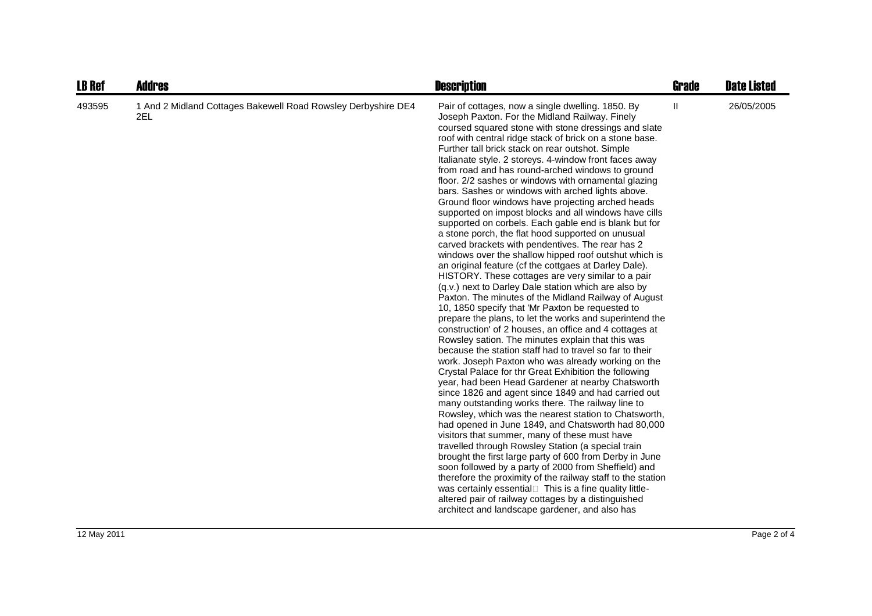| <b>LB Ref</b> | <b>Addres</b>                                                        | <b>Description</b>                                                                                                                                                                                                                                                                                                                                                                                                                                                                                                                                                                                                                                                                                                                                                                                                                                                                                                                                                                                                                                                                                                                                                                                                                                                                                                                                                                                                                                                                                                                                                                                                                                                                                                                                                                                                                                                                                                                                                                                                                                                                                                                                                                                                                | <b>Grade</b> | <b>Date Listed</b> |
|---------------|----------------------------------------------------------------------|-----------------------------------------------------------------------------------------------------------------------------------------------------------------------------------------------------------------------------------------------------------------------------------------------------------------------------------------------------------------------------------------------------------------------------------------------------------------------------------------------------------------------------------------------------------------------------------------------------------------------------------------------------------------------------------------------------------------------------------------------------------------------------------------------------------------------------------------------------------------------------------------------------------------------------------------------------------------------------------------------------------------------------------------------------------------------------------------------------------------------------------------------------------------------------------------------------------------------------------------------------------------------------------------------------------------------------------------------------------------------------------------------------------------------------------------------------------------------------------------------------------------------------------------------------------------------------------------------------------------------------------------------------------------------------------------------------------------------------------------------------------------------------------------------------------------------------------------------------------------------------------------------------------------------------------------------------------------------------------------------------------------------------------------------------------------------------------------------------------------------------------------------------------------------------------------------------------------------------------|--------------|--------------------|
| 493595        | 1 And 2 Midland Cottages Bakewell Road Rowsley Derbyshire DE4<br>2EL | Pair of cottages, now a single dwelling. 1850. By<br>Joseph Paxton. For the Midland Railway. Finely<br>coursed squared stone with stone dressings and slate<br>roof with central ridge stack of brick on a stone base.<br>Further tall brick stack on rear outshot. Simple<br>Italianate style. 2 storeys. 4-window front faces away<br>from road and has round-arched windows to ground<br>floor. 2/2 sashes or windows with ornamental glazing<br>bars. Sashes or windows with arched lights above.<br>Ground floor windows have projecting arched heads<br>supported on impost blocks and all windows have cills<br>supported on corbels. Each gable end is blank but for<br>a stone porch, the flat hood supported on unusual<br>carved brackets with pendentives. The rear has 2<br>windows over the shallow hipped roof outshut which is<br>an original feature (cf the cottgaes at Darley Dale).<br>HISTORY. These cottages are very similar to a pair<br>(q.v.) next to Darley Dale station which are also by<br>Paxton. The minutes of the Midland Railway of August<br>10, 1850 specify that 'Mr Paxton be requested to<br>prepare the plans, to let the works and superintend the<br>construction' of 2 houses, an office and 4 cottages at<br>Rowsley sation. The minutes explain that this was<br>because the station staff had to travel so far to their<br>work. Joseph Paxton who was already working on the<br>Crystal Palace for thr Great Exhibition the following<br>year, had been Head Gardener at nearby Chatsworth<br>since 1826 and agent since 1849 and had carried out<br>many outstanding works there. The railway line to<br>Rowsley, which was the nearest station to Chatsworth,<br>had opened in June 1849, and Chatsworth had 80,000<br>visitors that summer, many of these must have<br>travelled through Rowsley Station (a special train<br>brought the first large party of 600 from Derby in June<br>soon followed by a party of 2000 from Sheffield) and<br>therefore the proximity of the railway staff to the station<br>was certainly essential This is a fine quality little-<br>altered pair of railway cottages by a distinguished<br>architect and landscape gardener, and also has | Ш            | 26/05/2005         |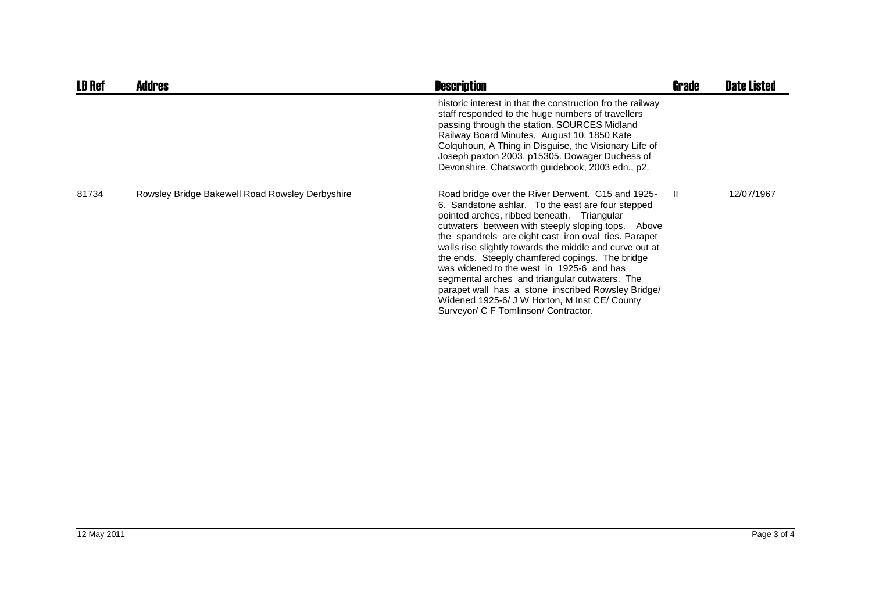| <b>LB Ref</b> | <b>Addres</b>                                   | <b>Description</b>                                                                                                                                                                                                                                                                                                                                                                                                                                                                                                                                                                                                             | <b>Grade</b> | <b>Date Listed</b> |
|---------------|-------------------------------------------------|--------------------------------------------------------------------------------------------------------------------------------------------------------------------------------------------------------------------------------------------------------------------------------------------------------------------------------------------------------------------------------------------------------------------------------------------------------------------------------------------------------------------------------------------------------------------------------------------------------------------------------|--------------|--------------------|
|               |                                                 | historic interest in that the construction fro the railway<br>staff responded to the huge numbers of travellers<br>passing through the station. SOURCES Midland<br>Railway Board Minutes, August 10, 1850 Kate<br>Colquhoun, A Thing in Disguise, the Visionary Life of<br>Joseph paxton 2003, p15305. Dowager Duchess of<br>Devonshire, Chatsworth guidebook, 2003 edn., p2.                                                                                                                                                                                                                                                  |              |                    |
| 81734         | Rowsley Bridge Bakewell Road Rowsley Derbyshire | Road bridge over the River Derwent. C15 and 1925-<br>6. Sandstone ashlar. To the east are four stepped<br>pointed arches, ribbed beneath. Triangular<br>cutwaters between with steeply sloping tops. Above<br>the spandrels are eight cast iron oval ties. Parapet<br>walls rise slightly towards the middle and curve out at<br>the ends. Steeply chamfered copings. The bridge<br>was widened to the west in 1925-6 and has<br>segmental arches and triangular cutwaters. The<br>parapet wall has a stone inscribed Rowsley Bridge/<br>Widened 1925-6/ J W Horton, M Inst CE/ County<br>Surveyor/ C F Tomlinson/ Contractor. | - II         | 12/07/1967         |